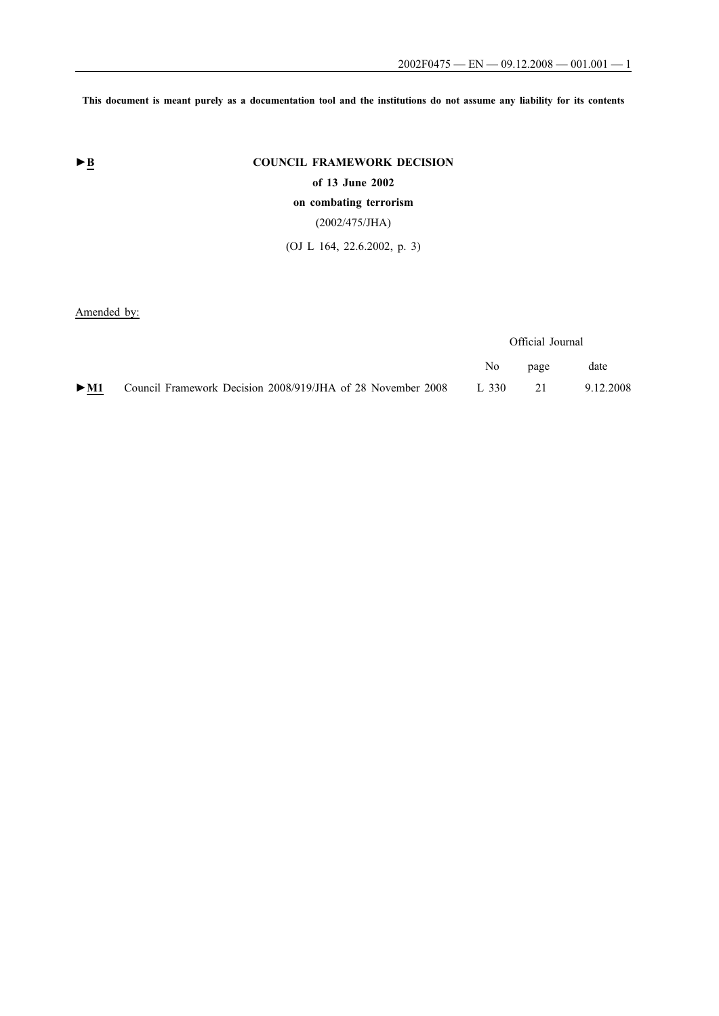**This document is meant purely as a documentation tool and the institutions do not assume any liability for its contents**

# ► **B** COUNCIL FRAMEWORK DECISION

**of 13 June 2002**

# **on combating terrorism**

# (2002/475/JHA)

(OJ L 164, 22.6.2002, p. 3)

Amended by:

|        |                                                             | Official Journal |      |           |
|--------|-------------------------------------------------------------|------------------|------|-----------|
|        |                                                             | No n             | page | date      |
| $>$ M1 | Council Framework Decision 2008/919/JHA of 28 November 2008 | 1,330            | 21   | 9.12.2008 |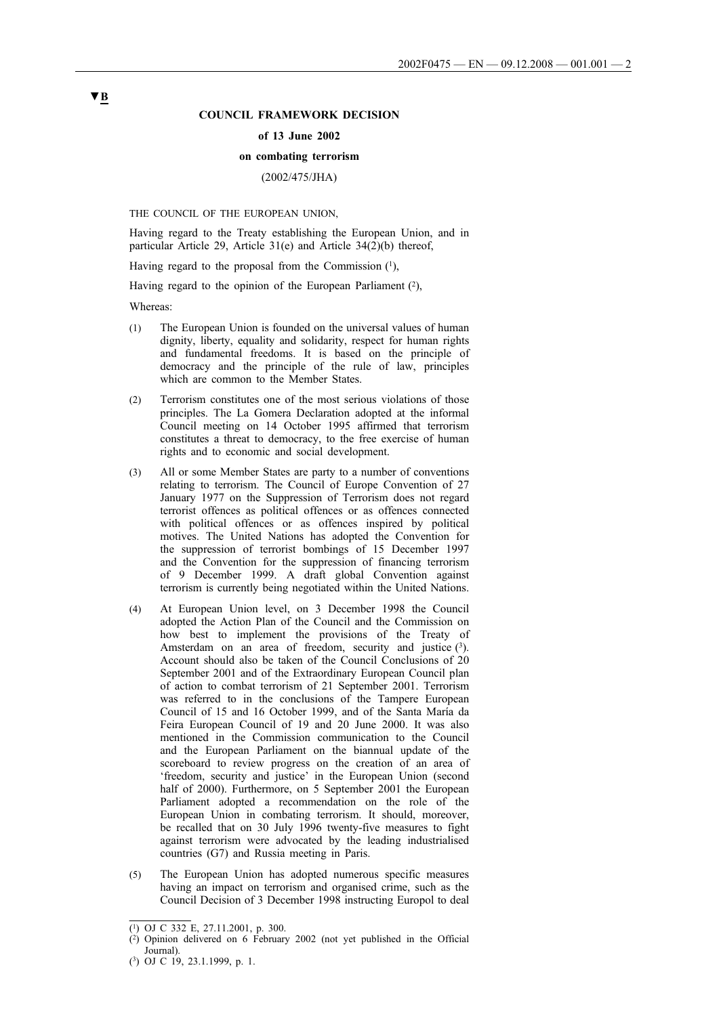### **COUNCIL FRAMEWORK DECISION**

#### **of 13 June 2002**

#### **on combating terrorism**

# (2002/475/JHA)

THE COUNCIL OF THE EUROPEAN UNION,

Having regard to the Treaty establishing the European Union, and in particular Article 29, Article 31(e) and Article 34(2)(b) thereof,

Having regard to the proposal from the Commission  $(1)$ ,

Having regard to the opinion of the European Parliament  $(2)$ ,

Whereas:

- (1) The European Union is founded on the universal values of human dignity, liberty, equality and solidarity, respect for human rights and fundamental freedoms. It is based on the principle of democracy and the principle of the rule of law, principles which are common to the Member States.
- (2) Terrorism constitutes one of the most serious violations of those principles. The La Gomera Declaration adopted at the informal Council meeting on 14 October 1995 affirmed that terrorism constitutes a threat to democracy, to the free exercise of human rights and to economic and social development.
- (3) All or some Member States are party to a number of conventions relating to terrorism. The Council of Europe Convention of 27 January 1977 on the Suppression of Terrorism does not regard terrorist offences as political offences or as offences connected with political offences or as offences inspired by political motives. The United Nations has adopted the Convention for the suppression of terrorist bombings of 15 December 1997 and the Convention for the suppression of financing terrorism of 9 December 1999. A draft global Convention against terrorism is currently being negotiated within the United Nations.
- (4) At European Union level, on 3 December 1998 the Council adopted the Action Plan of the Council and the Commission on how best to implement the provisions of the Treaty of Amsterdam on an area of freedom, security and justice  $(3)$ . Account should also be taken of the Council Conclusions of 20 September 2001 and of the Extraordinary European Council plan of action to combat terrorism of 21 September 2001. Terrorism was referred to in the conclusions of the Tampere European Council of 15 and 16 October 1999, and of the Santa María da Feira European Council of 19 and 20 June 2000. It was also mentioned in the Commission communication to the Council and the European Parliament on the biannual update of the scoreboard to review progress on the creation of an area of 'freedom, security and justice' in the European Union (second half of 2000). Furthermore, on 5 September 2001 the European Parliament adopted a recommendation on the role of the European Union in combating terrorism. It should, moreover, be recalled that on 30 July 1996 twenty-five measures to fight against terrorism were advocated by the leading industrialised countries (G7) and Russia meeting in Paris.
- (5) The European Union has adopted numerous specific measures having an impact on terrorism and organised crime, such as the Council Decision of 3 December 1998 instructing Europol to deal

 $\overline{(^1)}$  OJ C 332 E, 27.11.2001, p. 300.

 $(2)$  Opinion delivered on 6 February 2002 (not yet published in the Official Journal).

<sup>(3)</sup> OJ C 19, 23.1.1999, p. 1.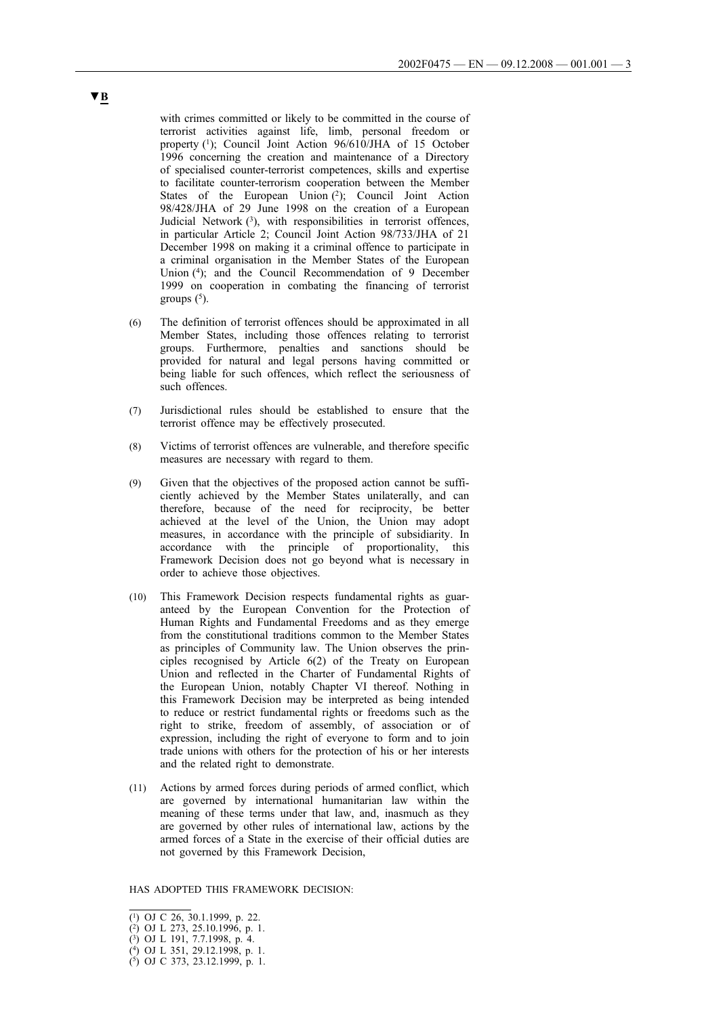with crimes committed or likely to be committed in the course of terrorist activities against life, limb, personal freedom or property (1); Council Joint Action 96/610/JHA of 15 October 1996 concerning the creation and maintenance of a Directory of specialised counter-terrorist competences, skills and expertise to facilitate counter-terrorism cooperation between the Member States of the European Union (2); Council Joint Action 98/428/JHA of 29 June 1998 on the creation of a European Judicial Network  $(3)$ , with responsibilities in terrorist offences, in particular Article 2; Council Joint Action 98/733/JHA of 21 December 1998 on making it a criminal offence to participate in a criminal organisation in the Member States of the European Union (4); and the Council Recommendation of 9 December 1999 on cooperation in combating the financing of terrorist groups  $(5)$ .

- (6) The definition of terrorist offences should be approximated in all Member States, including those offences relating to terrorist groups. Furthermore, penalties and sanctions should be provided for natural and legal persons having committed or being liable for such offences, which reflect the seriousness of such offences.
- (7) Jurisdictional rules should be established to ensure that the terrorist offence may be effectively prosecuted.
- (8) Victims of terrorist offences are vulnerable, and therefore specific measures are necessary with regard to them.
- (9) Given that the objectives of the proposed action cannot be sufficiently achieved by the Member States unilaterally, and can therefore, because of the need for reciprocity, be better achieved at the level of the Union, the Union may adopt measures, in accordance with the principle of subsidiarity. In accordance with the principle of proportionality, this Framework Decision does not go beyond what is necessary in order to achieve those objectives.
- (10) This Framework Decision respects fundamental rights as guaranteed by the European Convention for the Protection of Human Rights and Fundamental Freedoms and as they emerge from the constitutional traditions common to the Member States as principles of Community law. The Union observes the principles recognised by Article 6(2) of the Treaty on European Union and reflected in the Charter of Fundamental Rights of the European Union, notably Chapter VI thereof. Nothing in this Framework Decision may be interpreted as being intended to reduce or restrict fundamental rights or freedoms such as the right to strike, freedom of assembly, of association or of expression, including the right of everyone to form and to join trade unions with others for the protection of his or her interests and the related right to demonstrate.
- (11) Actions by armed forces during periods of armed conflict, which are governed by international humanitarian law within the meaning of these terms under that law, and, inasmuch as they are governed by other rules of international law, actions by the armed forces of a State in the exercise of their official duties are not governed by this Framework Decision,

HAS ADOPTED THIS FRAMEWORK DECISION:

<sup>(1)</sup> OJ C 26, 30.1.1999, p. 22.

<sup>(2)</sup> OJ L 273, 25.10.1996, p. 1.

<sup>(3)</sup> OJ L 191, 7.7.1998, p. 4.

<sup>(4)</sup> OJ L 351, 29.12.1998, p. 1.

<sup>(5)</sup> OJ C 373, 23.12.1999, p. 1.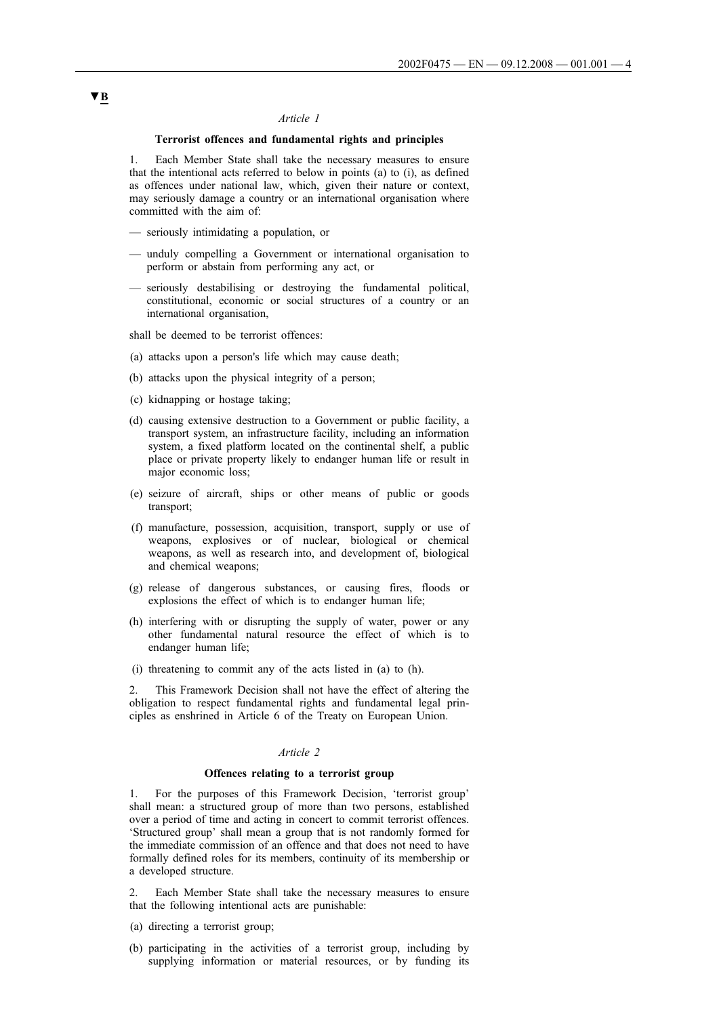#### *Article 1*

#### **Terrorist offences and fundamental rights and principles**

1. Each Member State shall take the necessary measures to ensure that the intentional acts referred to below in points (a) to (i), as defined as offences under national law, which, given their nature or context, may seriously damage a country or an international organisation where committed with the aim of:

- seriously intimidating a population, or
- unduly compelling a Government or international organisation to perform or abstain from performing any act, or
- seriously destabilising or destroying the fundamental political, constitutional, economic or social structures of a country or an international organisation,

shall be deemed to be terrorist offences:

- (a) attacks upon a person's life which may cause death;
- (b) attacks upon the physical integrity of a person;
- (c) kidnapping or hostage taking;
- (d) causing extensive destruction to a Government or public facility, a transport system, an infrastructure facility, including an information system, a fixed platform located on the continental shelf, a public place or private property likely to endanger human life or result in major economic loss;
- (e) seizure of aircraft, ships or other means of public or goods transport;
- (f) manufacture, possession, acquisition, transport, supply or use of weapons, explosives or of nuclear, biological or chemical weapons, as well as research into, and development of, biological and chemical weapons;
- (g) release of dangerous substances, or causing fires, floods or explosions the effect of which is to endanger human life;
- (h) interfering with or disrupting the supply of water, power or any other fundamental natural resource the effect of which is to endanger human life;
- (i) threatening to commit any of the acts listed in (a) to (h).

This Framework Decision shall not have the effect of altering the obligation to respect fundamental rights and fundamental legal principles as enshrined in Article 6 of the Treaty on European Union.

## *Article 2*

#### **Offences relating to a terrorist group**

1. For the purposes of this Framework Decision, 'terrorist group' shall mean: a structured group of more than two persons, established over a period of time and acting in concert to commit terrorist offences. 'Structured group' shall mean a group that is not randomly formed for the immediate commission of an offence and that does not need to have formally defined roles for its members, continuity of its membership or a developed structure.

Each Member State shall take the necessary measures to ensure that the following intentional acts are punishable:

- (a) directing a terrorist group;
- (b) participating in the activities of a terrorist group, including by supplying information or material resources, or by funding its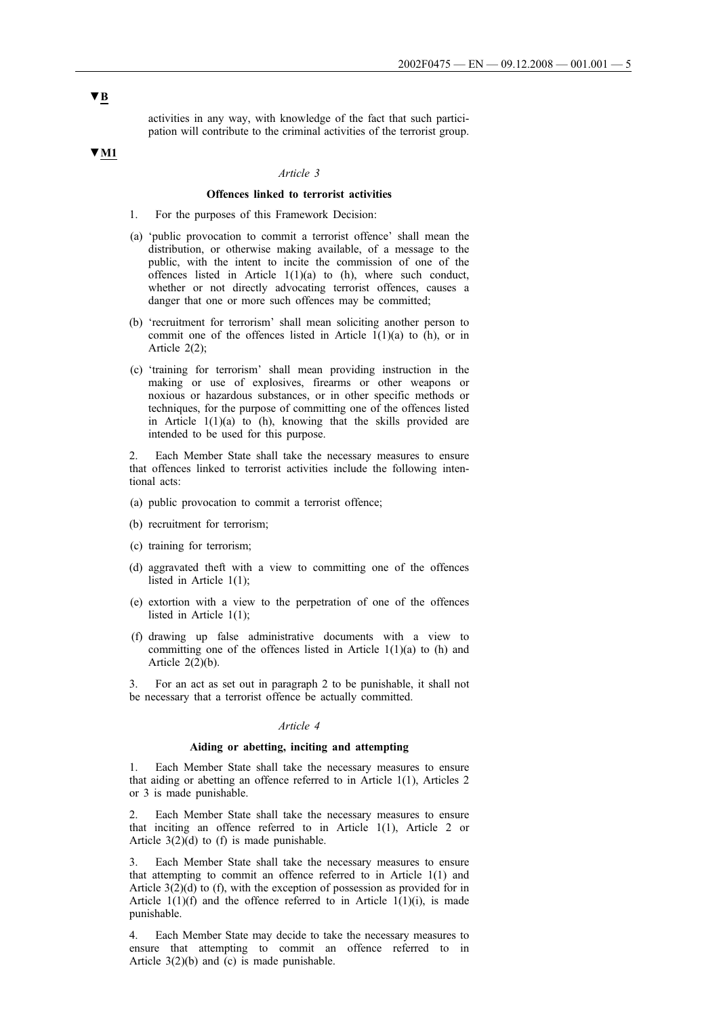activities in any way, with knowledge of the fact that such participation will contribute to the criminal activities of the terrorist group.

# **▼M1**

## *Article 3*

# **Offences linked to terrorist activities**

- 1. For the purposes of this Framework Decision:
- (a) 'public provocation to commit a terrorist offence' shall mean the distribution, or otherwise making available, of a message to the public, with the intent to incite the commission of one of the offences listed in Article  $1(1)(a)$  to (h), where such conduct, whether or not directly advocating terrorist offences, causes a danger that one or more such offences may be committed;
- (b) 'recruitment for terrorism' shall mean soliciting another person to commit one of the offences listed in Article  $1(1)(a)$  to (h), or in Article 2(2);
- (c) 'training for terrorism' shall mean providing instruction in the making or use of explosives, firearms or other weapons or noxious or hazardous substances, or in other specific methods or techniques, for the purpose of committing one of the offences listed in Article 1(1)(a) to (h), knowing that the skills provided are intended to be used for this purpose.

2. Each Member State shall take the necessary measures to ensure that offences linked to terrorist activities include the following intentional acts:

- (a) public provocation to commit a terrorist offence;
- (b) recruitment for terrorism;
- (c) training for terrorism;
- (d) aggravated theft with a view to committing one of the offences listed in Article 1(1);
- (e) extortion with a view to the perpetration of one of the offences listed in Article 1(1);
- (f) drawing up false administrative documents with a view to committing one of the offences listed in Article 1(1)(a) to (h) and Article  $2(2)(b)$ .
- 3. For an act as set out in paragraph 2 to be punishable, it shall not be necessary that a terrorist offence be actually committed.

#### *Article 4*

## **Aiding or abetting, inciting and attempting**

1. Each Member State shall take the necessary measures to ensure that aiding or abetting an offence referred to in Article 1(1), Articles 2 or 3 is made punishable.

2. Each Member State shall take the necessary measures to ensure that inciting an offence referred to in Article 1(1), Article 2 or Article 3(2)(d) to (f) is made punishable.

3. Each Member State shall take the necessary measures to ensure that attempting to commit an offence referred to in Article 1(1) and Article 3(2)(d) to (f), with the exception of possession as provided for in Article  $1(1)(f)$  and the offence referred to in Article  $1(1)(i)$ , is made punishable.

4. Each Member State may decide to take the necessary measures to ensure that attempting to commit an offence referred to in Article 3(2)(b) and (c) is made punishable.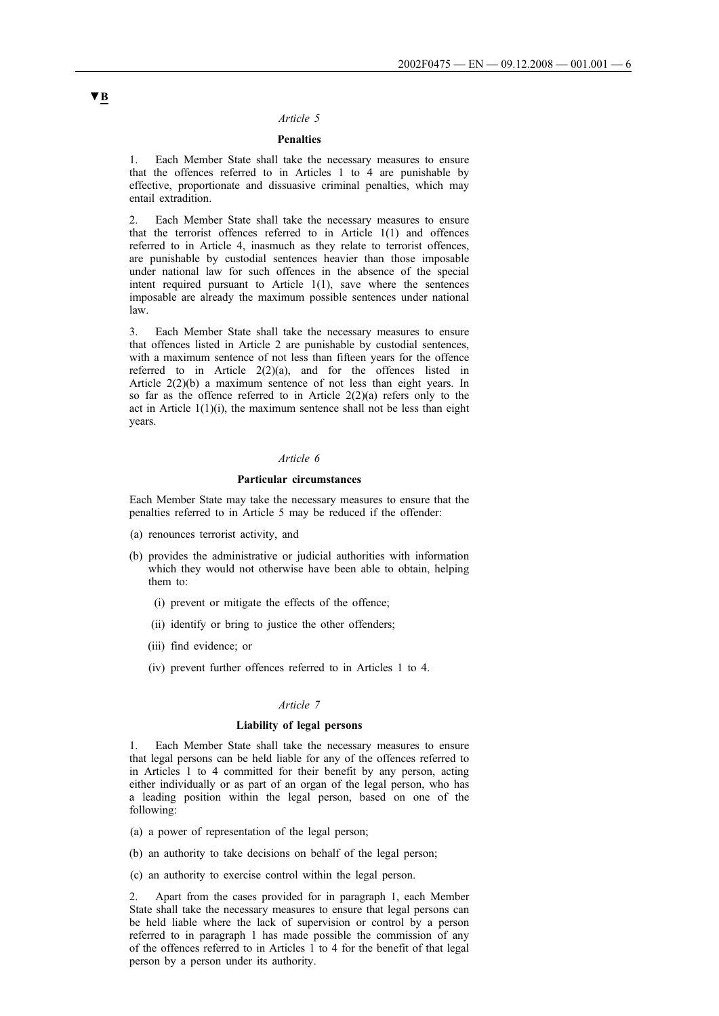#### *Article 5*

## **Penalties**

1. Each Member State shall take the necessary measures to ensure that the offences referred to in Articles 1 to 4 are punishable by effective, proportionate and dissuasive criminal penalties, which may entail extradition.

2. Each Member State shall take the necessary measures to ensure that the terrorist offences referred to in Article 1(1) and offences referred to in Article 4, inasmuch as they relate to terrorist offences, are punishable by custodial sentences heavier than those imposable under national law for such offences in the absence of the special intent required pursuant to Article 1(1), save where the sentences imposable are already the maximum possible sentences under national law.

3. Each Member State shall take the necessary measures to ensure that offences listed in Article 2 are punishable by custodial sentences, with a maximum sentence of not less than fifteen years for the offence referred to in Article 2(2)(a), and for the offences listed in Article 2(2)(b) a maximum sentence of not less than eight years. In so far as the offence referred to in Article  $2(2)(a)$  refers only to the act in Article  $1(1)(i)$ , the maximum sentence shall not be less than eight years.

## *Article 6*

#### **Particular circumstances**

Each Member State may take the necessary measures to ensure that the penalties referred to in Article 5 may be reduced if the offender:

- (a) renounces terrorist activity, and
- (b) provides the administrative or judicial authorities with information which they would not otherwise have been able to obtain, helping them to:
	- (i) prevent or mitigate the effects of the offence;
	- (ii) identify or bring to justice the other offenders;
	- (iii) find evidence; or
	- (iv) prevent further offences referred to in Articles 1 to 4.

### *Article 7*

#### **Liability of legal persons**

1. Each Member State shall take the necessary measures to ensure that legal persons can be held liable for any of the offences referred to in Articles 1 to 4 committed for their benefit by any person, acting either individually or as part of an organ of the legal person, who has a leading position within the legal person, based on one of the following:

- (a) a power of representation of the legal person;
- (b) an authority to take decisions on behalf of the legal person;
- (c) an authority to exercise control within the legal person.

2. Apart from the cases provided for in paragraph 1, each Member State shall take the necessary measures to ensure that legal persons can be held liable where the lack of supervision or control by a person referred to in paragraph 1 has made possible the commission of any of the offences referred to in Articles 1 to 4 for the benefit of that legal person by a person under its authority.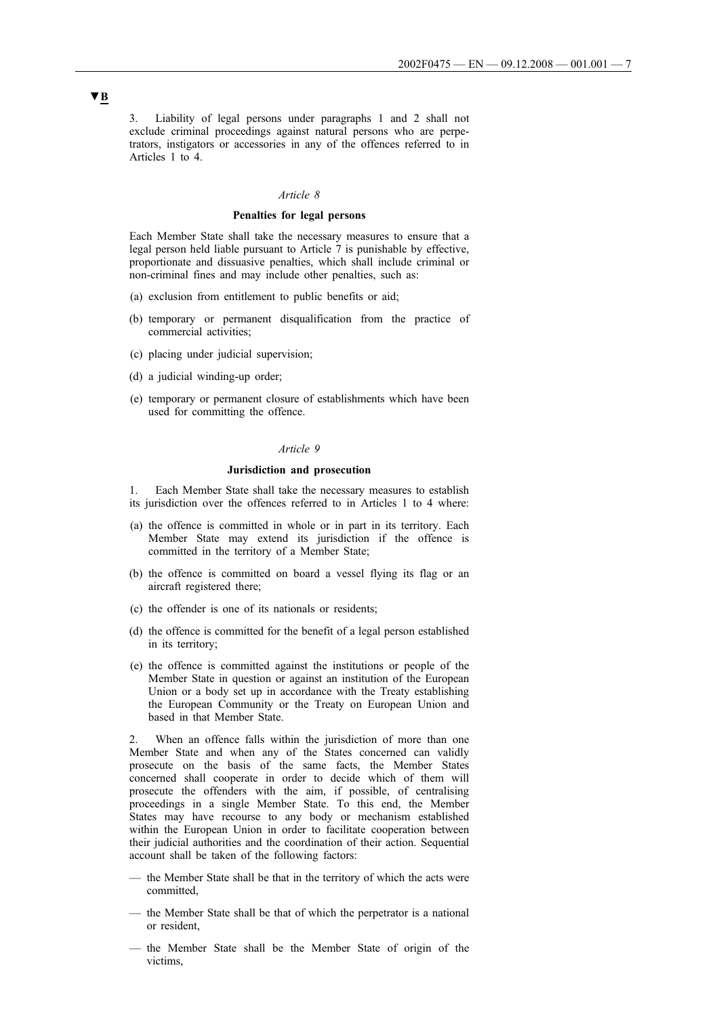3. Liability of legal persons under paragraphs 1 and 2 shall not exclude criminal proceedings against natural persons who are perpetrators, instigators or accessories in any of the offences referred to in Articles 1 to 4.

# *Article 8*

#### **Penalties for legal persons**

Each Member State shall take the necessary measures to ensure that a legal person held liable pursuant to Article 7 is punishable by effective, proportionate and dissuasive penalties, which shall include criminal or non-criminal fines and may include other penalties, such as:

- (a) exclusion from entitlement to public benefits or aid;
- (b) temporary or permanent disqualification from the practice of commercial activities;
- (c) placing under judicial supervision;
- (d) a judicial winding-up order;
- (e) temporary or permanent closure of establishments which have been used for committing the offence.

#### *Article 9*

#### **Jurisdiction and prosecution**

1. Each Member State shall take the necessary measures to establish its jurisdiction over the offences referred to in Articles 1 to 4 where:

- (a) the offence is committed in whole or in part in its territory. Each Member State may extend its jurisdiction if the offence is committed in the territory of a Member State;
- (b) the offence is committed on board a vessel flying its flag or an aircraft registered there;
- (c) the offender is one of its nationals or residents;
- (d) the offence is committed for the benefit of a legal person established in its territory;
- (e) the offence is committed against the institutions or people of the Member State in question or against an institution of the European Union or a body set up in accordance with the Treaty establishing the European Community or the Treaty on European Union and based in that Member State.

2. When an offence falls within the jurisdiction of more than one Member State and when any of the States concerned can validly prosecute on the basis of the same facts, the Member States concerned shall cooperate in order to decide which of them will prosecute the offenders with the aim, if possible, of centralising proceedings in a single Member State. To this end, the Member States may have recourse to any body or mechanism established within the European Union in order to facilitate cooperation between their judicial authorities and the coordination of their action. Sequential account shall be taken of the following factors:

- the Member State shall be that in the territory of which the acts were committed,
- the Member State shall be that of which the perpetrator is a national or resident,
- the Member State shall be the Member State of origin of the victims,